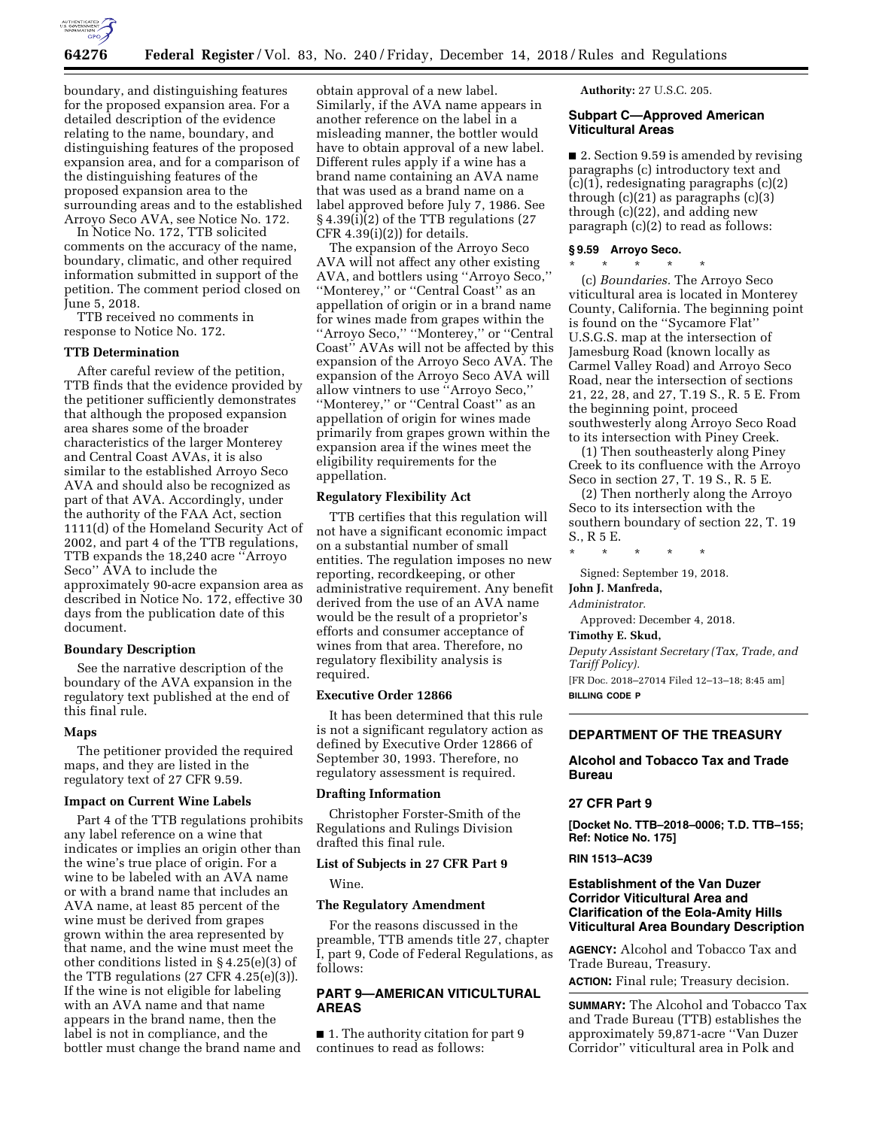

boundary, and distinguishing features for the proposed expansion area. For a detailed description of the evidence relating to the name, boundary, and distinguishing features of the proposed expansion area, and for a comparison of the distinguishing features of the proposed expansion area to the surrounding areas and to the established Arroyo Seco AVA, see Notice No. 172.

In Notice No. 172, TTB solicited comments on the accuracy of the name, boundary, climatic, and other required information submitted in support of the petition. The comment period closed on June 5, 2018.

TTB received no comments in response to Notice No. 172.

# **TTB Determination**

After careful review of the petition, TTB finds that the evidence provided by the petitioner sufficiently demonstrates that although the proposed expansion area shares some of the broader characteristics of the larger Monterey and Central Coast AVAs, it is also similar to the established Arroyo Seco AVA and should also be recognized as part of that AVA. Accordingly, under the authority of the FAA Act, section 1111(d) of the Homeland Security Act of 2002, and part 4 of the TTB regulations, TTB expands the 18,240 acre ''Arroyo Seco'' AVA to include the approximately 90-acre expansion area as described in Notice No. 172, effective 30 days from the publication date of this document.

## **Boundary Description**

See the narrative description of the boundary of the AVA expansion in the regulatory text published at the end of this final rule.

#### **Maps**

The petitioner provided the required maps, and they are listed in the regulatory text of 27 CFR 9.59.

## **Impact on Current Wine Labels**

Part 4 of the TTB regulations prohibits any label reference on a wine that indicates or implies an origin other than the wine's true place of origin. For a wine to be labeled with an AVA name or with a brand name that includes an AVA name, at least 85 percent of the wine must be derived from grapes grown within the area represented by that name, and the wine must meet the other conditions listed in § 4.25(e)(3) of the TTB regulations (27 CFR 4.25(e)(3)). If the wine is not eligible for labeling with an AVA name and that name appears in the brand name, then the label is not in compliance, and the bottler must change the brand name and

obtain approval of a new label. Similarly, if the AVA name appears in another reference on the label in a misleading manner, the bottler would have to obtain approval of a new label. Different rules apply if a wine has a brand name containing an AVA name that was used as a brand name on a label approved before July 7, 1986. See § 4.39(i)(2) of the TTB regulations (27 CFR  $4.39(i)(2)$ ) for details.

The expansion of the Arroyo Seco AVA will not affect any other existing AVA, and bottlers using ''Arroyo Seco,'' ''Monterey,'' or ''Central Coast'' as an appellation of origin or in a brand name for wines made from grapes within the ''Arroyo Seco,'' ''Monterey,'' or ''Central Coast'' AVAs will not be affected by this expansion of the Arroyo Seco AVA. The expansion of the Arroyo Seco AVA will allow vintners to use ''Arroyo Seco,'' ''Monterey,'' or ''Central Coast'' as an appellation of origin for wines made primarily from grapes grown within the expansion area if the wines meet the eligibility requirements for the appellation.

#### **Regulatory Flexibility Act**

TTB certifies that this regulation will not have a significant economic impact on a substantial number of small entities. The regulation imposes no new reporting, recordkeeping, or other administrative requirement. Any benefit derived from the use of an AVA name would be the result of a proprietor's efforts and consumer acceptance of wines from that area. Therefore, no regulatory flexibility analysis is required.

# **Executive Order 12866**

It has been determined that this rule is not a significant regulatory action as defined by Executive Order 12866 of September 30, 1993. Therefore, no regulatory assessment is required.

## **Drafting Information**

Christopher Forster-Smith of the Regulations and Rulings Division drafted this final rule.

## **List of Subjects in 27 CFR Part 9**

Wine.

## **The Regulatory Amendment**

For the reasons discussed in the preamble, TTB amends title 27, chapter I, part 9, Code of Federal Regulations, as follows:

# **PART 9—AMERICAN VITICULTURAL AREAS**

■ 1. The authority citation for part 9 continues to read as follows:

**Authority:** 27 U.S.C. 205.

# **Subpart C—Approved American Viticultural Areas**

■ 2. Section 9.59 is amended by revising paragraphs (c) introductory text and  $(c)(1)$ , redesignating paragraphs  $(c)(2)$ through  $(c)(21)$  as paragraphs  $(c)(3)$ through (c)(22), and adding new paragraph (c)(2) to read as follows:

#### **§ 9.59 Arroyo Seco.**

\* \* \* \* \* (c) *Boundaries.* The Arroyo Seco viticultural area is located in Monterey County, California. The beginning point is found on the ''Sycamore Flat'' U.S.G.S. map at the intersection of Jamesburg Road (known locally as Carmel Valley Road) and Arroyo Seco Road, near the intersection of sections 21, 22, 28, and 27, T.19 S., R. 5 E. From the beginning point, proceed southwesterly along Arroyo Seco Road to its intersection with Piney Creek.

(1) Then southeasterly along Piney Creek to its confluence with the Arroyo Seco in section 27, T. 19 S., R. 5 E.

(2) Then northerly along the Arroyo Seco to its intersection with the southern boundary of section 22, T. 19 S., R 5 E.

\* \* \* \* \*

Signed: September 19, 2018.

#### **John J. Manfreda,**

*Administrator.* 

Approved: December 4, 2018.

## **Timothy E. Skud,**

*Deputy Assistant Secretary (Tax, Trade, and Tariff Policy).* 

[FR Doc. 2018–27014 Filed 12–13–18; 8:45 am] **BILLING CODE P** 

# **DEPARTMENT OF THE TREASURY**

# **Alcohol and Tobacco Tax and Trade Bureau**

# **27 CFR Part 9**

**[Docket No. TTB–2018–0006; T.D. TTB–155; Ref: Notice No. 175]** 

# **RIN 1513–AC39**

# **Establishment of the Van Duzer Corridor Viticultural Area and Clarification of the Eola-Amity Hills Viticultural Area Boundary Description**

**AGENCY:** Alcohol and Tobacco Tax and Trade Bureau, Treasury.

**ACTION:** Final rule; Treasury decision.

**SUMMARY:** The Alcohol and Tobacco Tax and Trade Bureau (TTB) establishes the approximately 59,871-acre ''Van Duzer Corridor'' viticultural area in Polk and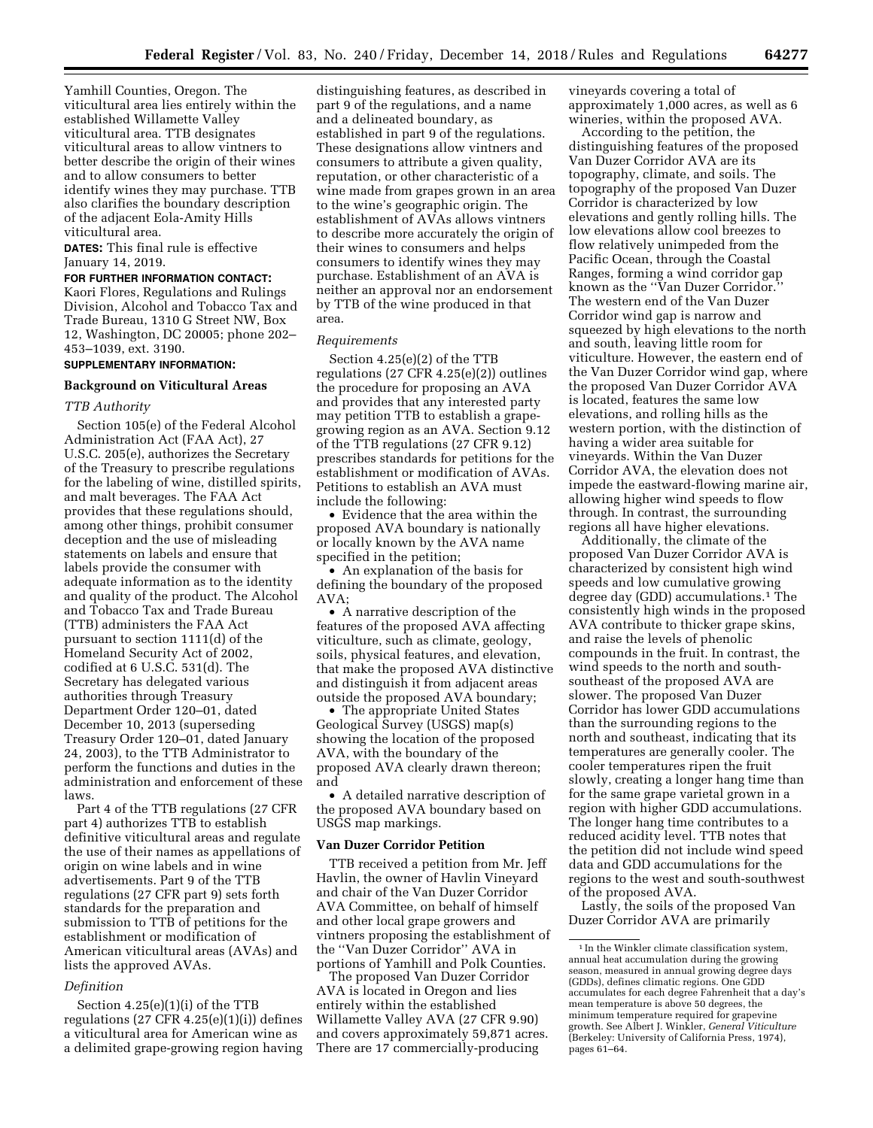Yamhill Counties, Oregon. The viticultural area lies entirely within the established Willamette Valley viticultural area. TTB designates viticultural areas to allow vintners to better describe the origin of their wines and to allow consumers to better identify wines they may purchase. TTB also clarifies the boundary description of the adjacent Eola-Amity Hills viticultural area.

**DATES:** This final rule is effective January 14, 2019.

# **FOR FURTHER INFORMATION CONTACT:**

Kaori Flores, Regulations and Rulings Division, Alcohol and Tobacco Tax and Trade Bureau, 1310 G Street NW, Box 12, Washington, DC 20005; phone 202– 453–1039, ext. 3190.

# **SUPPLEMENTARY INFORMATION:**

# **Background on Viticultural Areas**

## *TTB Authority*

Section 105(e) of the Federal Alcohol Administration Act (FAA Act), 27 U.S.C. 205(e), authorizes the Secretary of the Treasury to prescribe regulations for the labeling of wine, distilled spirits, and malt beverages. The FAA Act provides that these regulations should, among other things, prohibit consumer deception and the use of misleading statements on labels and ensure that labels provide the consumer with adequate information as to the identity and quality of the product. The Alcohol and Tobacco Tax and Trade Bureau (TTB) administers the FAA Act pursuant to section 1111(d) of the Homeland Security Act of 2002, codified at 6 U.S.C. 531(d). The Secretary has delegated various authorities through Treasury Department Order 120–01, dated December 10, 2013 (superseding Treasury Order 120–01, dated January 24, 2003), to the TTB Administrator to perform the functions and duties in the administration and enforcement of these laws.

Part 4 of the TTB regulations (27 CFR part 4) authorizes TTB to establish definitive viticultural areas and regulate the use of their names as appellations of origin on wine labels and in wine advertisements. Part 9 of the TTB regulations (27 CFR part 9) sets forth standards for the preparation and submission to TTB of petitions for the establishment or modification of American viticultural areas (AVAs) and lists the approved AVAs.

#### *Definition*

Section 4.25(e)(1)(i) of the TTB regulations  $(27 \text{ CFR } 4.25(e)(1)(i))$  defines a viticultural area for American wine as a delimited grape-growing region having

distinguishing features, as described in part 9 of the regulations, and a name and a delineated boundary, as established in part 9 of the regulations. These designations allow vintners and consumers to attribute a given quality, reputation, or other characteristic of a wine made from grapes grown in an area to the wine's geographic origin. The establishment of AVAs allows vintners to describe more accurately the origin of their wines to consumers and helps consumers to identify wines they may purchase. Establishment of an AVA is neither an approval nor an endorsement by TTB of the wine produced in that area.

#### *Requirements*

Section 4.25(e)(2) of the TTB regulations (27 CFR 4.25(e)(2)) outlines the procedure for proposing an AVA and provides that any interested party may petition TTB to establish a grapegrowing region as an AVA. Section 9.12 of the TTB regulations (27 CFR 9.12) prescribes standards for petitions for the establishment or modification of AVAs. Petitions to establish an AVA must include the following:

• Evidence that the area within the proposed AVA boundary is nationally or locally known by the AVA name specified in the petition;

• An explanation of the basis for defining the boundary of the proposed AVA;

• A narrative description of the features of the proposed AVA affecting viticulture, such as climate, geology, soils, physical features, and elevation, that make the proposed AVA distinctive and distinguish it from adjacent areas outside the proposed AVA boundary;

• The appropriate United States Geological Survey (USGS) map(s) showing the location of the proposed AVA, with the boundary of the proposed AVA clearly drawn thereon; and

• A detailed narrative description of the proposed AVA boundary based on USGS map markings.

## **Van Duzer Corridor Petition**

TTB received a petition from Mr. Jeff Havlin, the owner of Havlin Vineyard and chair of the Van Duzer Corridor AVA Committee, on behalf of himself and other local grape growers and vintners proposing the establishment of the ''Van Duzer Corridor'' AVA in portions of Yamhill and Polk Counties.

The proposed Van Duzer Corridor AVA is located in Oregon and lies entirely within the established Willamette Valley AVA (27 CFR 9.90) and covers approximately 59,871 acres. There are 17 commercially-producing

vineyards covering a total of approximately 1,000 acres, as well as 6 wineries, within the proposed AVA.

According to the petition, the distinguishing features of the proposed Van Duzer Corridor AVA are its topography, climate, and soils. The topography of the proposed Van Duzer Corridor is characterized by low elevations and gently rolling hills. The low elevations allow cool breezes to flow relatively unimpeded from the Pacific Ocean, through the Coastal Ranges, forming a wind corridor gap known as the ''Van Duzer Corridor.'' The western end of the Van Duzer Corridor wind gap is narrow and squeezed by high elevations to the north and south, leaving little room for viticulture. However, the eastern end of the Van Duzer Corridor wind gap, where the proposed Van Duzer Corridor AVA is located, features the same low elevations, and rolling hills as the western portion, with the distinction of having a wider area suitable for vineyards. Within the Van Duzer Corridor AVA, the elevation does not impede the eastward-flowing marine air, allowing higher wind speeds to flow through. In contrast, the surrounding regions all have higher elevations.

Additionally, the climate of the proposed Van Duzer Corridor AVA is characterized by consistent high wind speeds and low cumulative growing degree day (GDD) accumulations.1 The consistently high winds in the proposed AVA contribute to thicker grape skins, and raise the levels of phenolic compounds in the fruit. In contrast, the wind speeds to the north and southsoutheast of the proposed AVA are slower. The proposed Van Duzer Corridor has lower GDD accumulations than the surrounding regions to the north and southeast, indicating that its temperatures are generally cooler. The cooler temperatures ripen the fruit slowly, creating a longer hang time than for the same grape varietal grown in a region with higher GDD accumulations. The longer hang time contributes to a reduced acidity level. TTB notes that the petition did not include wind speed data and GDD accumulations for the regions to the west and south-southwest of the proposed AVA.

Lastly, the soils of the proposed Van Duzer Corridor AVA are primarily

<sup>&</sup>lt;sup>1</sup> In the Winkler climate classification system, annual heat accumulation during the growing season, measured in annual growing degree days (GDDs), defines climatic regions. One GDD accumulates for each degree Fahrenheit that a day's mean temperature is above 50 degrees, the minimum temperature required for grapevine growth. See Albert J. Winkler, *General Viticulture*  (Berkeley: University of California Press, 1974), pages 61–64.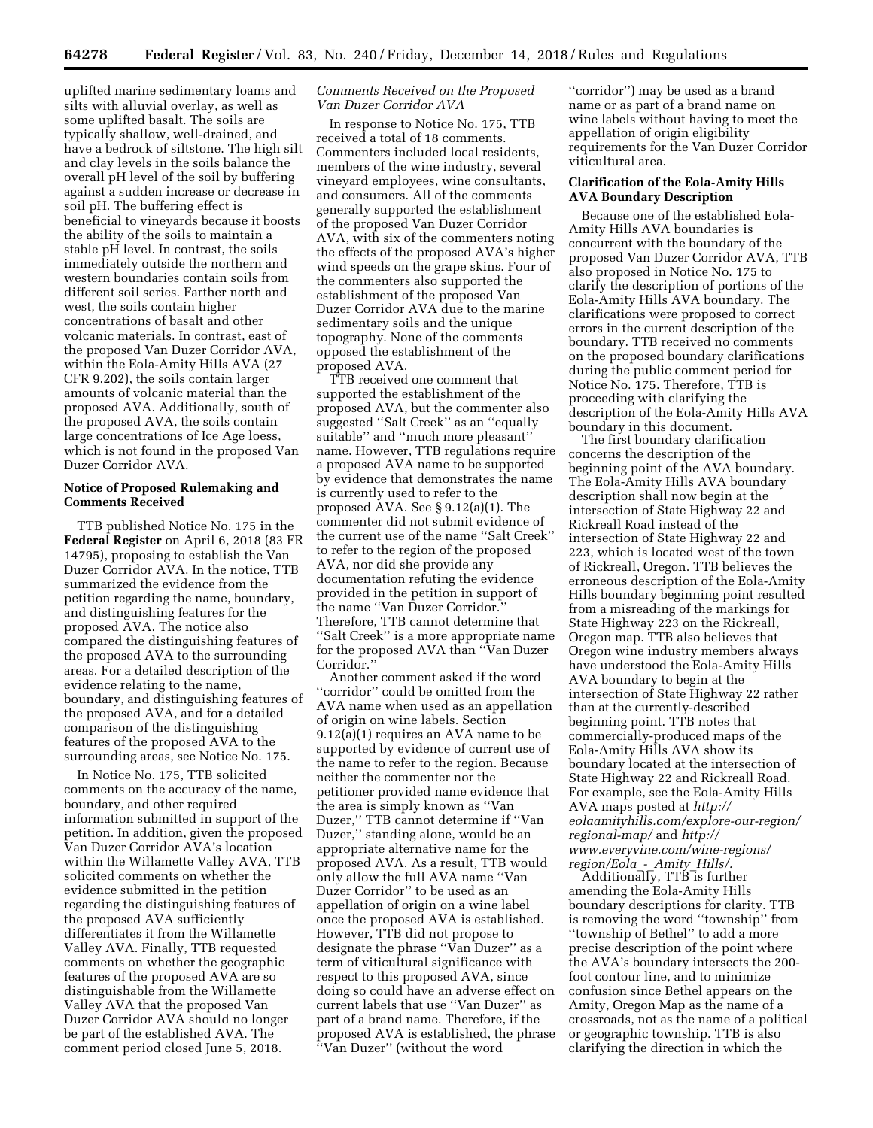uplifted marine sedimentary loams and silts with alluvial overlay, as well as some uplifted basalt. The soils are typically shallow, well-drained, and have a bedrock of siltstone. The high silt and clay levels in the soils balance the overall pH level of the soil by buffering against a sudden increase or decrease in soil pH. The buffering effect is beneficial to vineyards because it boosts the ability of the soils to maintain a stable pH level. In contrast, the soils immediately outside the northern and western boundaries contain soils from different soil series. Farther north and west, the soils contain higher concentrations of basalt and other volcanic materials. In contrast, east of the proposed Van Duzer Corridor AVA, within the Eola-Amity Hills AVA (27 CFR 9.202), the soils contain larger amounts of volcanic material than the proposed AVA. Additionally, south of the proposed AVA, the soils contain large concentrations of Ice Age loess, which is not found in the proposed Van Duzer Corridor AVA.

# **Notice of Proposed Rulemaking and Comments Received**

TTB published Notice No. 175 in the **Federal Register** on April 6, 2018 (83 FR 14795), proposing to establish the Van Duzer Corridor AVA. In the notice, TTB summarized the evidence from the petition regarding the name, boundary, and distinguishing features for the proposed AVA. The notice also compared the distinguishing features of the proposed AVA to the surrounding areas. For a detailed description of the evidence relating to the name, boundary, and distinguishing features of the proposed AVA, and for a detailed comparison of the distinguishing features of the proposed AVA to the surrounding areas, see Notice No. 175.

In Notice No. 175, TTB solicited comments on the accuracy of the name, boundary, and other required information submitted in support of the petition. In addition, given the proposed Van Duzer Corridor AVA's location within the Willamette Valley AVA, TTB solicited comments on whether the evidence submitted in the petition regarding the distinguishing features of the proposed AVA sufficiently differentiates it from the Willamette Valley AVA. Finally, TTB requested comments on whether the geographic features of the proposed AVA are so distinguishable from the Willamette Valley AVA that the proposed Van Duzer Corridor AVA should no longer be part of the established AVA. The comment period closed June 5, 2018.

# *Comments Received on the Proposed Van Duzer Corridor AVA*

In response to Notice No. 175, TTB received a total of 18 comments. Commenters included local residents, members of the wine industry, several vineyard employees, wine consultants, and consumers. All of the comments generally supported the establishment of the proposed Van Duzer Corridor AVA, with six of the commenters noting the effects of the proposed AVA's higher wind speeds on the grape skins. Four of the commenters also supported the establishment of the proposed Van Duzer Corridor AVA due to the marine sedimentary soils and the unique topography. None of the comments opposed the establishment of the proposed AVA.

TTB received one comment that supported the establishment of the proposed AVA, but the commenter also suggested ''Salt Creek'' as an ''equally suitable'' and ''much more pleasant'' name. However, TTB regulations require a proposed AVA name to be supported by evidence that demonstrates the name is currently used to refer to the proposed AVA. See § 9.12(a)(1). The commenter did not submit evidence of the current use of the name ''Salt Creek'' to refer to the region of the proposed AVA, nor did she provide any documentation refuting the evidence provided in the petition in support of the name ''Van Duzer Corridor.'' Therefore, TTB cannot determine that ''Salt Creek'' is a more appropriate name for the proposed AVA than ''Van Duzer Corridor.''

Another comment asked if the word ''corridor'' could be omitted from the AVA name when used as an appellation of origin on wine labels. Section 9.12(a)(1) requires an AVA name to be supported by evidence of current use of the name to refer to the region. Because neither the commenter nor the petitioner provided name evidence that the area is simply known as ''Van Duzer,'' TTB cannot determine if ''Van Duzer,'' standing alone, would be an appropriate alternative name for the proposed AVA. As a result, TTB would only allow the full AVA name ''Van Duzer Corridor'' to be used as an appellation of origin on a wine label once the proposed AVA is established. However, TTB did not propose to designate the phrase ''Van Duzer'' as a term of viticultural significance with respect to this proposed AVA, since doing so could have an adverse effect on current labels that use ''Van Duzer'' as part of a brand name. Therefore, if the proposed AVA is established, the phrase ''Van Duzer'' (without the word

''corridor'') may be used as a brand name or as part of a brand name on wine labels without having to meet the appellation of origin eligibility requirements for the Van Duzer Corridor viticultural area.

# **Clarification of the Eola-Amity Hills AVA Boundary Description**

Because one of the established Eola-Amity Hills AVA boundaries is concurrent with the boundary of the proposed Van Duzer Corridor AVA, TTB also proposed in Notice No. 175 to clarify the description of portions of the Eola-Amity Hills AVA boundary. The clarifications were proposed to correct errors in the current description of the boundary. TTB received no comments on the proposed boundary clarifications during the public comment period for Notice No. 175. Therefore, TTB is proceeding with clarifying the description of the Eola-Amity Hills AVA boundary in this document.

The first boundary clarification concerns the description of the beginning point of the AVA boundary. The Eola-Amity Hills AVA boundary description shall now begin at the intersection of State Highway 22 and Rickreall Road instead of the intersection of State Highway 22 and 223, which is located west of the town of Rickreall, Oregon. TTB believes the erroneous description of the Eola-Amity Hills boundary beginning point resulted from a misreading of the markings for State Highway 223 on the Rickreall, Oregon map. TTB also believes that Oregon wine industry members always have understood the Eola-Amity Hills AVA boundary to begin at the intersection of State Highway 22 rather than at the currently-described beginning point. TTB notes that commercially-produced maps of the Eola-Amity Hills AVA show its boundary located at the intersection of State Highway 22 and Rickreall Road. For example, see the Eola-Amity Hills AVA maps posted at *[http://](http://eolaamityhills.com/explore-our-region/regional-map/) [eolaamityhills.com/explore-our-region/](http://eolaamityhills.com/explore-our-region/regional-map/)  [regional-map/](http://eolaamityhills.com/explore-our-region/regional-map/)* and *[http://](http://www.everyvine.com/wine-regions/region/Eola_-_Amity_Hills/) [www.everyvine.com/wine-regions/](http://www.everyvine.com/wine-regions/region/Eola_-_Amity_Hills/)  [region/Eola](http://www.everyvine.com/wine-regions/region/Eola_-_Amity_Hills/)*\_*-*\_*Amity*\_*Hills/.* 

Additionally, TTB is further amending the Eola-Amity Hills boundary descriptions for clarity. TTB is removing the word ''township'' from ''township of Bethel'' to add a more precise description of the point where the AVA's boundary intersects the 200 foot contour line, and to minimize confusion since Bethel appears on the Amity, Oregon Map as the name of a crossroads, not as the name of a political or geographic township. TTB is also clarifying the direction in which the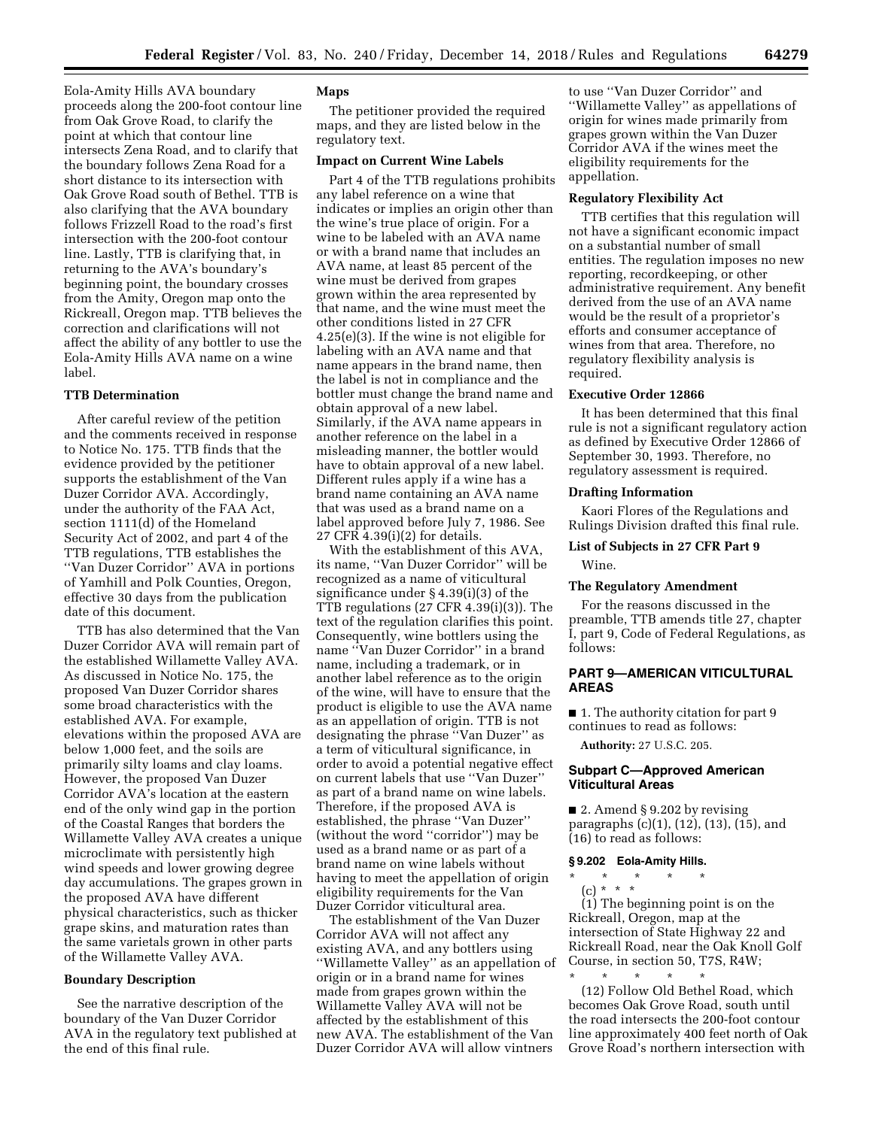Eola-Amity Hills AVA boundary proceeds along the 200-foot contour line from Oak Grove Road, to clarify the point at which that contour line intersects Zena Road, and to clarify that the boundary follows Zena Road for a short distance to its intersection with Oak Grove Road south of Bethel. TTB is also clarifying that the AVA boundary follows Frizzell Road to the road's first intersection with the 200-foot contour line. Lastly, TTB is clarifying that, in returning to the AVA's boundary's beginning point, the boundary crosses from the Amity, Oregon map onto the Rickreall, Oregon map. TTB believes the correction and clarifications will not affect the ability of any bottler to use the Eola-Amity Hills AVA name on a wine label.

# **TTB Determination**

After careful review of the petition and the comments received in response to Notice No. 175. TTB finds that the evidence provided by the petitioner supports the establishment of the Van Duzer Corridor AVA. Accordingly, under the authority of the FAA Act, section 1111(d) of the Homeland Security Act of 2002, and part 4 of the TTB regulations, TTB establishes the ''Van Duzer Corridor'' AVA in portions of Yamhill and Polk Counties, Oregon, effective 30 days from the publication date of this document.

TTB has also determined that the Van Duzer Corridor AVA will remain part of the established Willamette Valley AVA. As discussed in Notice No. 175, the proposed Van Duzer Corridor shares some broad characteristics with the established AVA. For example, elevations within the proposed AVA are below 1,000 feet, and the soils are primarily silty loams and clay loams. However, the proposed Van Duzer Corridor AVA's location at the eastern end of the only wind gap in the portion of the Coastal Ranges that borders the Willamette Valley AVA creates a unique microclimate with persistently high wind speeds and lower growing degree day accumulations. The grapes grown in the proposed AVA have different physical characteristics, such as thicker grape skins, and maturation rates than the same varietals grown in other parts of the Willamette Valley AVA.

# **Boundary Description**

See the narrative description of the boundary of the Van Duzer Corridor AVA in the regulatory text published at the end of this final rule.

## **Maps**

The petitioner provided the required maps, and they are listed below in the regulatory text.

## **Impact on Current Wine Labels**

Part 4 of the TTB regulations prohibits any label reference on a wine that indicates or implies an origin other than the wine's true place of origin. For a wine to be labeled with an AVA name or with a brand name that includes an AVA name, at least 85 percent of the wine must be derived from grapes grown within the area represented by that name, and the wine must meet the other conditions listed in 27 CFR 4.25(e)(3). If the wine is not eligible for labeling with an AVA name and that name appears in the brand name, then the label is not in compliance and the bottler must change the brand name and obtain approval of a new label. Similarly, if the AVA name appears in another reference on the label in a misleading manner, the bottler would have to obtain approval of a new label. Different rules apply if a wine has a brand name containing an AVA name that was used as a brand name on a label approved before July 7, 1986. See 27 CFR 4.39(i)(2) for details.

With the establishment of this AVA, its name, ''Van Duzer Corridor'' will be recognized as a name of viticultural significance under § 4.39(i)(3) of the TTB regulations (27 CFR 4.39(i)(3)). The text of the regulation clarifies this point. Consequently, wine bottlers using the name ''Van Duzer Corridor'' in a brand name, including a trademark, or in another label reference as to the origin of the wine, will have to ensure that the product is eligible to use the AVA name as an appellation of origin. TTB is not designating the phrase ''Van Duzer'' as a term of viticultural significance, in order to avoid a potential negative effect on current labels that use ''Van Duzer'' as part of a brand name on wine labels. Therefore, if the proposed AVA is established, the phrase ''Van Duzer'' (without the word ''corridor'') may be used as a brand name or as part of a brand name on wine labels without having to meet the appellation of origin eligibility requirements for the Van Duzer Corridor viticultural area.

The establishment of the Van Duzer Corridor AVA will not affect any existing AVA, and any bottlers using ''Willamette Valley'' as an appellation of origin or in a brand name for wines made from grapes grown within the Willamette Valley AVA will not be affected by the establishment of this new AVA. The establishment of the Van Duzer Corridor AVA will allow vintners

to use ''Van Duzer Corridor'' and ''Willamette Valley'' as appellations of origin for wines made primarily from grapes grown within the Van Duzer Corridor AVA if the wines meet the eligibility requirements for the appellation.

# **Regulatory Flexibility Act**

TTB certifies that this regulation will not have a significant economic impact on a substantial number of small entities. The regulation imposes no new reporting, recordkeeping, or other administrative requirement. Any benefit derived from the use of an AVA name would be the result of a proprietor's efforts and consumer acceptance of wines from that area. Therefore, no regulatory flexibility analysis is required.

# **Executive Order 12866**

It has been determined that this final rule is not a significant regulatory action as defined by Executive Order 12866 of September 30, 1993. Therefore, no regulatory assessment is required.

# **Drafting Information**

Kaori Flores of the Regulations and Rulings Division drafted this final rule.

# **List of Subjects in 27 CFR Part 9**

Wine.

# **The Regulatory Amendment**

For the reasons discussed in the preamble, TTB amends title 27, chapter I, part 9, Code of Federal Regulations, as follows:

# **PART 9—AMERICAN VITICULTURAL AREAS**

■ 1. The authority citation for part 9 continues to read as follows:

**Authority:** 27 U.S.C. 205.

# **Subpart C—Approved American Viticultural Areas**

■ 2. Amend § 9.202 by revising paragraphs (c)(1), (12), (13), (15), and (16) to read as follows:

# **§ 9.202 Eola-Amity Hills.**

\* \* \* \* \*

(c) \* \* \* (1) The beginning point is on the Rickreall, Oregon, map at the intersection of State Highway 22 and Rickreall Road, near the Oak Knoll Golf Course, in section 50, T7S, R4W;

\* \* \* \* \* (12) Follow Old Bethel Road, which becomes Oak Grove Road, south until the road intersects the 200-foot contour line approximately 400 feet north of Oak Grove Road's northern intersection with